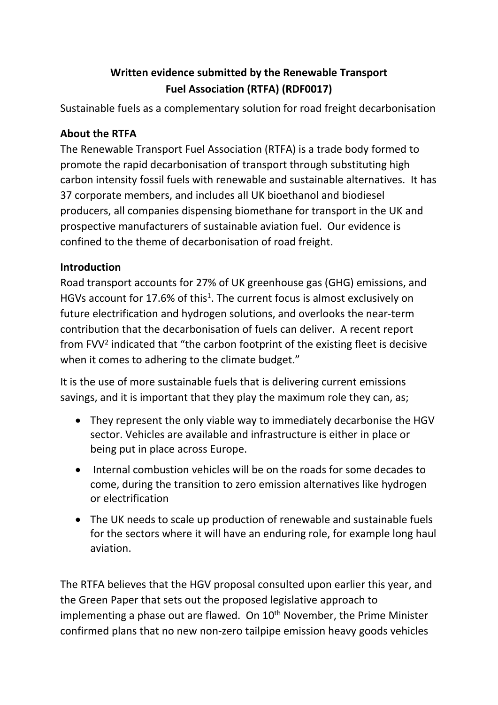# **Written evidence submitted by the Renewable Transport Fuel Association (RTFA) (RDF0017)**

Sustainable fuels as a complementary solution for road freight decarbonisation

### **About the RTFA**

The Renewable Transport Fuel Association (RTFA) is a trade body formed to promote the rapid decarbonisation of transport through substituting high carbon intensity fossil fuels with renewable and sustainable alternatives. It has 37 corporate members, and includes all UK bioethanol and biodiesel producers, all companies dispensing biomethane for transport in the UK and prospective manufacturers of sustainable aviation fuel. Our evidence is confined to the theme of decarbonisation of road freight.

### **Introduction**

Road transport accounts for 27% of UK greenhouse gas (GHG) emissions, and HGVs account for 17.6% of this<sup>1</sup>. The current focus is almost exclusively on future electrification and hydrogen solutions, and overlooks the near-term contribution that the decarbonisation of fuels can deliver. A recent report from FVV<sup>2</sup> indicated that "the carbon footprint of the existing fleet is decisive when it comes to adhering to the climate budget."

It is the use of more sustainable fuels that is delivering current emissions savings, and it is important that they play the maximum role they can, as;

- They represent the only viable way to immediately decarbonise the HGV sector. Vehicles are available and infrastructure is either in place or being put in place across Europe.
- Internal combustion vehicles will be on the roads for some decades to come, during the transition to zero emission alternatives like hydrogen or electrification
- The UK needs to scale up production of renewable and sustainable fuels for the sectors where it will have an enduring role, for example long haul aviation.

The RTFA believes that the HGV proposal consulted upon earlier this year, and the Green Paper that sets out the proposed legislative approach to implementing a phase out are flawed. On  $10<sup>th</sup>$  November, the Prime Minister confirmed plans that no new non-zero tailpipe emission heavy goods vehicles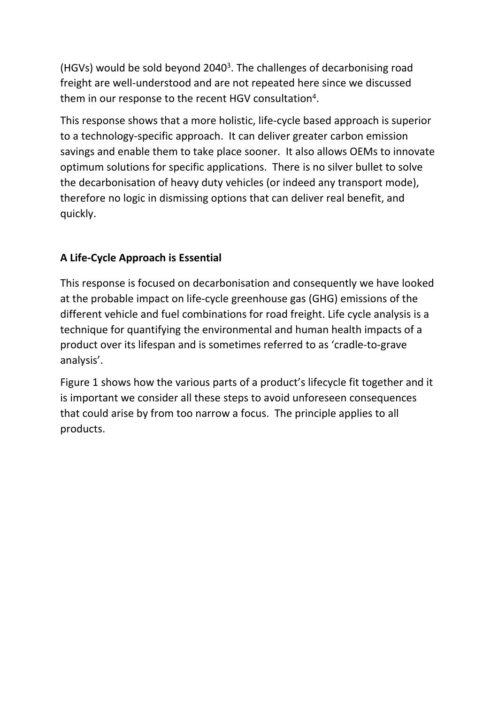(HGVs) would be sold beyond 2040<sup>3</sup>. The challenges of decarbonising road freight are well-understood and are not repeated here since we discussed them in our response to the recent HGV consultation<sup>4</sup>.

This response shows that a more holistic, life-cycle based approach is superior to a technology-specific approach. It can deliver greater carbon emission savings and enable them to take place sooner. It also allows OEMs to innovate optimum solutions for specific applications. There is no silver bullet to solve the decarbonisation of heavy duty vehicles (or indeed any transport mode), therefore no logic in dismissing options that can deliver real benefit, and quickly.

## **A Life-Cycle Approach is Essential**

This response is focused on decarbonisation and consequently we have looked at the probable impact on life-cycle greenhouse gas (GHG) emissions of the different vehicle and fuel combinations for road freight. Life cycle analysis is a technique for quantifying the environmental and human health impacts of a product over its lifespan and is sometimes referred to as 'cradle-to-grave analysis'.

Figure 1 shows how the various parts of a product's lifecycle fit together and it is important we consider all these steps to avoid unforeseen consequences that could arise by from too narrow a focus. The principle applies to all products.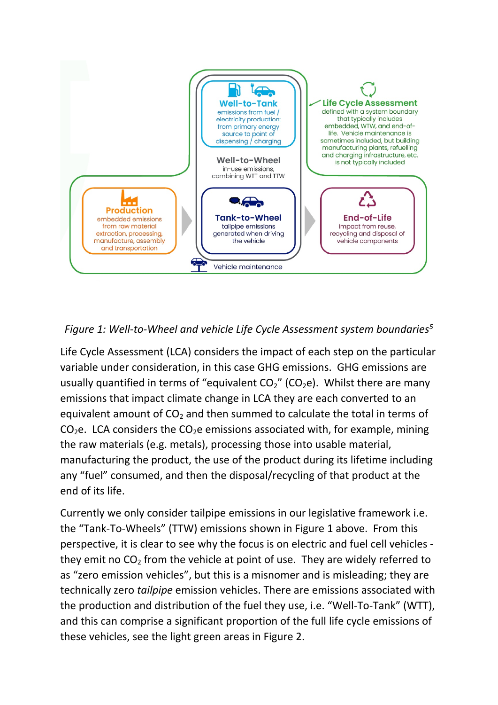

*Figure 1: Well-to-Wheel and vehicle Life Cycle Assessment system boundaries<sup>5</sup>*

Life Cycle Assessment (LCA) considers the impact of each step on the particular variable under consideration, in this case GHG emissions. GHG emissions are usually quantified in terms of "equivalent  $CO<sub>2</sub>$ " (CO<sub>2</sub>e). Whilst there are many emissions that impact climate change in LCA they are each converted to an equivalent amount of  $CO<sub>2</sub>$  and then summed to calculate the total in terms of  $CO<sub>2</sub>e$ . LCA considers the  $CO<sub>2</sub>e$  emissions associated with, for example, mining the raw materials (e.g. metals), processing those into usable material, manufacturing the product, the use of the product during its lifetime including any "fuel" consumed, and then the disposal/recycling of that product at the end of its life.

Currently we only consider tailpipe emissions in our legislative framework i.e. the "Tank-To-Wheels" (TTW) emissions shown in Figure 1 above. From this perspective, it is clear to see why the focus is on electric and fuel cell vehicles they emit no  $CO<sub>2</sub>$  from the vehicle at point of use. They are widely referred to as "zero emission vehicles", but this is a misnomer and is misleading; they are technically zero *tailpipe* emission vehicles. There are emissions associated with the production and distribution of the fuel they use, i.e. "Well-To-Tank" (WTT), and this can comprise a significant proportion of the full life cycle emissions of these vehicles, see the light green areas in Figure 2.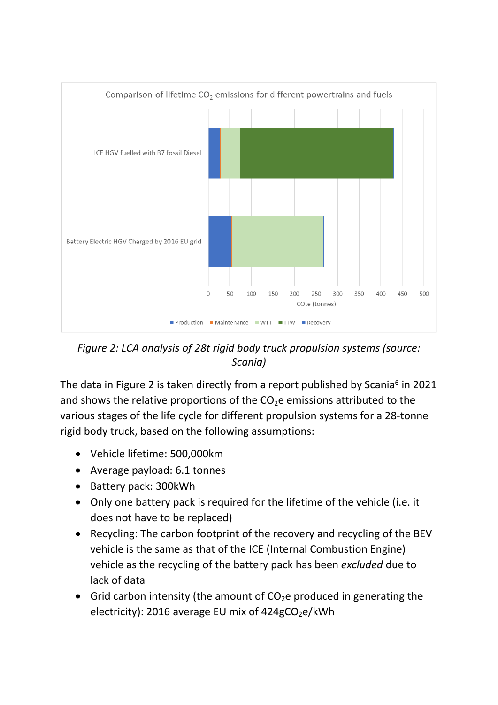

*Figure 2: LCA analysis of 28t rigid body truck propulsion systems (source: Scania)*

The data in Figure 2 is taken directly from a report published by Scania<sup>6</sup> in 2021 and shows the relative proportions of the  $CO<sub>2</sub>e$  emissions attributed to the various stages of the life cycle for different propulsion systems for a 28-tonne rigid body truck, based on the following assumptions:

- Vehicle lifetime: 500,000km
- Average payload: 6.1 tonnes
- Battery pack: 300kWh
- Only one battery pack is required for the lifetime of the vehicle (i.e. it does not have to be replaced)
- Recycling: The carbon footprint of the recovery and recycling of the BEV vehicle is the same as that of the ICE (Internal Combustion Engine) vehicle as the recycling of the battery pack has been *excluded* due to lack of data
- Grid carbon intensity (the amount of  $CO<sub>2</sub>e$  produced in generating the electricity): 2016 average EU mix of  $424gCO<sub>2</sub>e/kWh$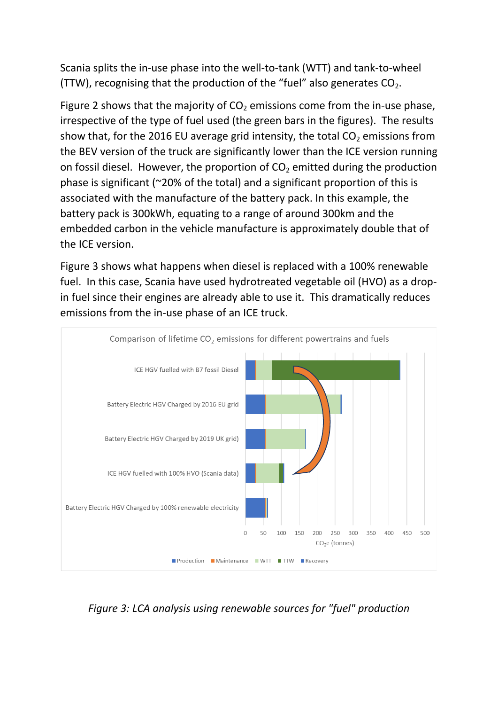Scania splits the in-use phase into the well-to-tank (WTT) and tank-to-wheel (TTW), recognising that the production of the "fuel" also generates  $CO<sub>2</sub>$ .

Figure 2 shows that the majority of  $CO<sub>2</sub>$  emissions come from the in-use phase, irrespective of the type of fuel used (the green bars in the figures). The results show that, for the 2016 EU average grid intensity, the total  $CO<sub>2</sub>$  emissions from the BEV version of the truck are significantly lower than the ICE version running on fossil diesel. However, the proportion of  $CO<sub>2</sub>$  emitted during the production phase is significant (~20% of the total) and a significant proportion of this is associated with the manufacture of the battery pack. In this example, the battery pack is 300kWh, equating to a range of around 300km and the embedded carbon in the vehicle manufacture is approximately double that of the ICE version.

Figure 3 shows what happens when diesel is replaced with a 100% renewable fuel. In this case, Scania have used hydrotreated vegetable oil (HVO) as a dropin fuel since their engines are already able to use it. This dramatically reduces emissions from the in-use phase of an ICE truck.



*Figure 3: LCA analysis using renewable sources for "fuel" production*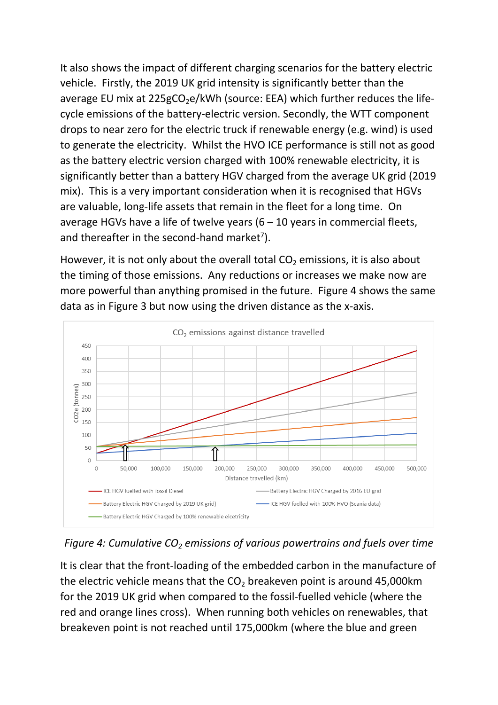It also shows the impact of different charging scenarios for the battery electric vehicle. Firstly, the 2019 UK grid intensity is significantly better than the average EU mix at  $225gCO<sub>2</sub>e/kWh$  (source: EEA) which further reduces the lifecycle emissions of the battery-electric version. Secondly, the WTT component drops to near zero for the electric truck if renewable energy (e.g. wind) is used to generate the electricity. Whilst the HVO ICE performance is still not as good as the battery electric version charged with 100% renewable electricity, it is significantly better than a battery HGV charged from the average UK grid (2019 mix). This is a very important consideration when it is recognised that HGVs are valuable, long-life assets that remain in the fleet for a long time. On average HGVs have a life of twelve years  $(6 - 10$  years in commercial fleets, and thereafter in the second-hand market<sup>7</sup>).

However, it is not only about the overall total  $CO<sub>2</sub>$  emissions, it is also about the timing of those emissions. Any reductions or increases we make now are more powerful than anything promised in the future. Figure 4 shows the same data as in Figure 3 but now using the driven distance as the x-axis.





It is clear that the front-loading of the embedded carbon in the manufacture of the electric vehicle means that the  $CO<sub>2</sub>$  breakeven point is around 45,000km for the 2019 UK grid when compared to the fossil-fuelled vehicle (where the red and orange lines cross). When running both vehicles on renewables, that breakeven point is not reached until 175,000km (where the blue and green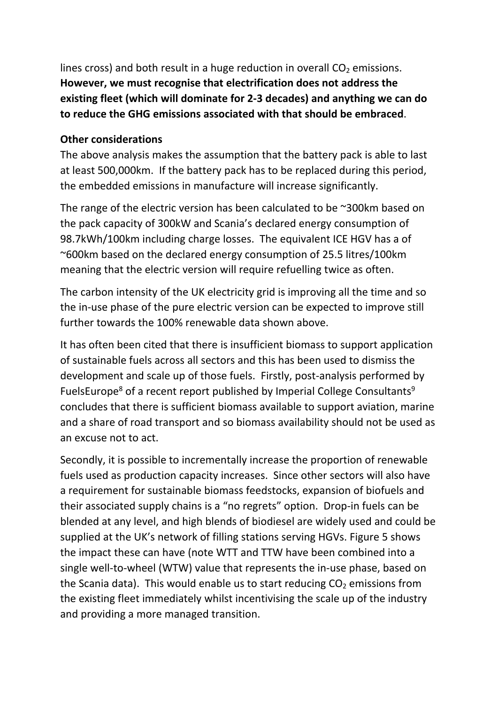lines cross) and both result in a huge reduction in overall  $CO<sub>2</sub>$  emissions. **However, we must recognise that electrification does not address the existing fleet (which will dominate for 2-3 decades) and anything we can do to reduce the GHG emissions associated with that should be embraced**.

### **Other considerations**

The above analysis makes the assumption that the battery pack is able to last at least 500,000km. If the battery pack has to be replaced during this period, the embedded emissions in manufacture will increase significantly.

The range of the electric version has been calculated to be ~300km based on the pack capacity of 300kW and Scania's declared energy consumption of 98.7kWh/100km including charge losses. The equivalent ICE HGV has a of ~600km based on the declared energy consumption of 25.5 litres/100km meaning that the electric version will require refuelling twice as often.

The carbon intensity of the UK electricity grid is improving all the time and so the in-use phase of the pure electric version can be expected to improve still further towards the 100% renewable data shown above.

It has often been cited that there is insufficient biomass to support application of sustainable fuels across all sectors and this has been used to dismiss the development and scale up of those fuels. Firstly, post-analysis performed by FuelsEurope<sup>8</sup> of a recent report published by Imperial College Consultants<sup>9</sup> concludes that there is sufficient biomass available to support aviation, marine and a share of road transport and so biomass availability should not be used as an excuse not to act.

Secondly, it is possible to incrementally increase the proportion of renewable fuels used as production capacity increases. Since other sectors will also have a requirement for sustainable biomass feedstocks, expansion of biofuels and their associated supply chains is a "no regrets" option. Drop-in fuels can be blended at any level, and high blends of biodiesel are widely used and could be supplied at the UK's network of filling stations serving HGVs. Figure 5 shows the impact these can have (note WTT and TTW have been combined into a single well-to-wheel (WTW) value that represents the in-use phase, based on the Scania data). This would enable us to start reducing  $CO<sub>2</sub>$  emissions from the existing fleet immediately whilst incentivising the scale up of the industry and providing a more managed transition.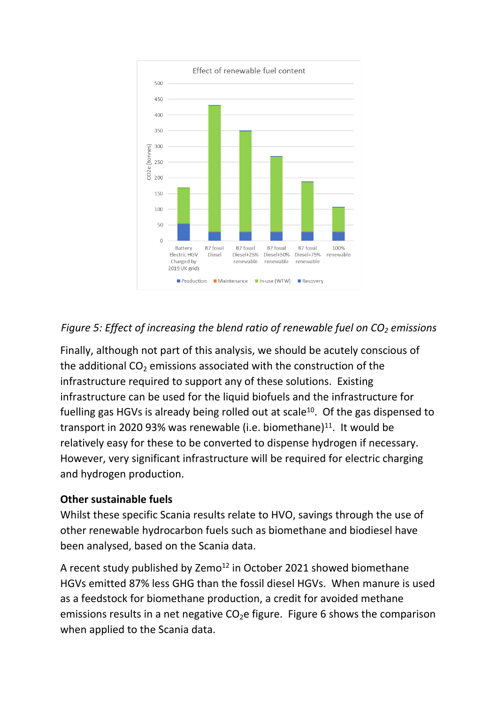

## *Figure 5: Effect of increasing the blend ratio of renewable fuel on CO<sup>2</sup> emissions*

Finally, although not part of this analysis, we should be acutely conscious of the additional  $CO<sub>2</sub>$  emissions associated with the construction of the infrastructure required to support any of these solutions. Existing infrastructure can be used for the liquid biofuels and the infrastructure for fuelling gas HGVs is already being rolled out at scale<sup>10</sup>. Of the gas dispensed to transport in 2020 93% was renewable (i.e. biomethane)<sup>11</sup>. It would be relatively easy for these to be converted to dispense hydrogen if necessary. However, very significant infrastructure will be required for electric charging and hydrogen production.

#### **Other sustainable fuels**

Whilst these specific Scania results relate to HVO, savings through the use of other renewable hydrocarbon fuels such as biomethane and biodiesel have been analysed, based on the Scania data.

A recent study published by Zemo<sup>12</sup> in October 2021 showed biomethane HGVs emitted 87% less GHG than the fossil diesel HGVs. When manure is used as a feedstock for biomethane production, a credit for avoided methane emissions results in a net negative  $CO<sub>2</sub>e$  figure. Figure 6 shows the comparison when applied to the Scania data.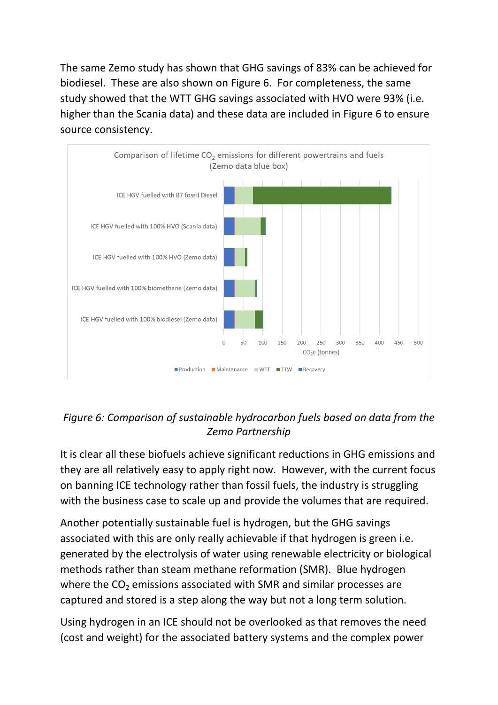The same Zemo study has shown that GHG savings of 83% can be achieved for biodiesel. These are also shown on Figure 6. For completeness, the same study showed that the WTT GHG savings associated with HVO were 93% (i.e. higher than the Scania data) and these data are included in Figure 6 to ensure source consistency.



## *Figure 6: Comparison of sustainable hydrocarbon fuels based on data from the Zemo Partnership*

It is clear all these biofuels achieve significant reductions in GHG emissions and they are all relatively easy to apply right now. However, with the current focus on banning ICE technology rather than fossil fuels, the industry is struggling with the business case to scale up and provide the volumes that are required.

Another potentially sustainable fuel is hydrogen, but the GHG savings associated with this are only really achievable if that hydrogen is green i.e. generated by the electrolysis of water using renewable electricity or biological methods rather than steam methane reformation (SMR). Blue hydrogen where the  $CO<sub>2</sub>$  emissions associated with SMR and similar processes are captured and stored is a step along the way but not a long term solution.

Using hydrogen in an ICE should not be overlooked as that removes the need (cost and weight) for the associated battery systems and the complex power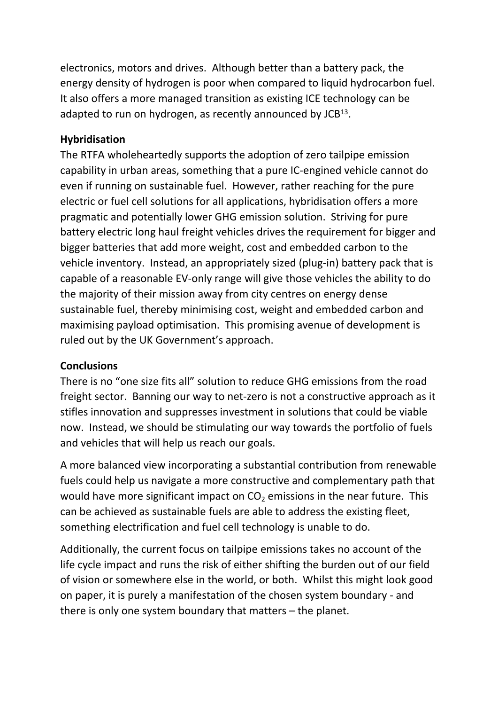electronics, motors and drives. Although better than a battery pack, the energy density of hydrogen is poor when compared to liquid hydrocarbon fuel. It also offers a more managed transition as existing ICE technology can be adapted to run on hydrogen, as recently announced by JCB<sup>13</sup>.

#### **Hybridisation**

The RTFA wholeheartedly supports the adoption of zero tailpipe emission capability in urban areas, something that a pure IC-engined vehicle cannot do even if running on sustainable fuel. However, rather reaching for the pure electric or fuel cell solutions for all applications, hybridisation offers a more pragmatic and potentially lower GHG emission solution. Striving for pure battery electric long haul freight vehicles drives the requirement for bigger and bigger batteries that add more weight, cost and embedded carbon to the vehicle inventory. Instead, an appropriately sized (plug-in) battery pack that is capable of a reasonable EV-only range will give those vehicles the ability to do the majority of their mission away from city centres on energy dense sustainable fuel, thereby minimising cost, weight and embedded carbon and maximising payload optimisation. This promising avenue of development is ruled out by the UK Government's approach.

#### **Conclusions**

There is no "one size fits all" solution to reduce GHG emissions from the road freight sector. Banning our way to net-zero is not a constructive approach as it stifles innovation and suppresses investment in solutions that could be viable now. Instead, we should be stimulating our way towards the portfolio of fuels and vehicles that will help us reach our goals.

A more balanced view incorporating a substantial contribution from renewable fuels could help us navigate a more constructive and complementary path that would have more significant impact on  $CO<sub>2</sub>$  emissions in the near future. This can be achieved as sustainable fuels are able to address the existing fleet, something electrification and fuel cell technology is unable to do.

Additionally, the current focus on tailpipe emissions takes no account of the life cycle impact and runs the risk of either shifting the burden out of our field of vision or somewhere else in the world, or both. Whilst this might look good on paper, it is purely a manifestation of the chosen system boundary - and there is only one system boundary that matters – the planet.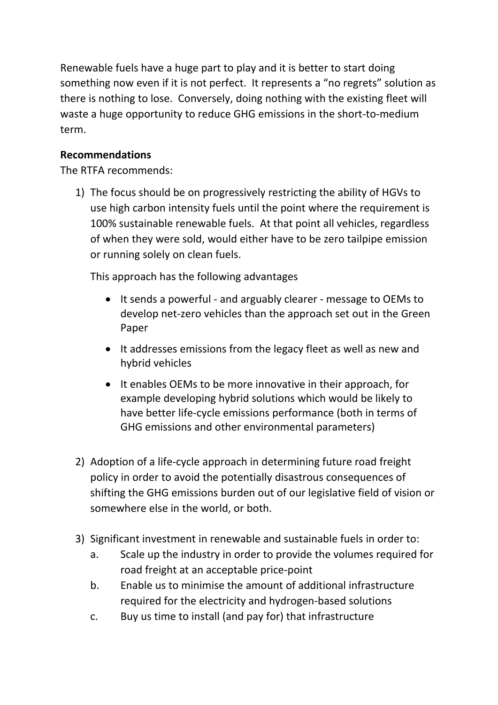Renewable fuels have a huge part to play and it is better to start doing something now even if it is not perfect. It represents a "no regrets" solution as there is nothing to lose. Conversely, doing nothing with the existing fleet will waste a huge opportunity to reduce GHG emissions in the short-to-medium term.

### **Recommendations**

The RTFA recommends:

1) The focus should be on progressively restricting the ability of HGVs to use high carbon intensity fuels until the point where the requirement is 100% sustainable renewable fuels. At that point all vehicles, regardless of when they were sold, would either have to be zero tailpipe emission or running solely on clean fuels.

This approach has the following advantages

- It sends a powerful and arguably clearer message to OEMs to develop net-zero vehicles than the approach set out in the Green Paper
- It addresses emissions from the legacy fleet as well as new and hybrid vehicles
- It enables OEMs to be more innovative in their approach, for example developing hybrid solutions which would be likely to have better life-cycle emissions performance (both in terms of GHG emissions and other environmental parameters)
- 2) Adoption of a life-cycle approach in determining future road freight policy in order to avoid the potentially disastrous consequences of shifting the GHG emissions burden out of our legislative field of vision or somewhere else in the world, or both.
- 3) Significant investment in renewable and sustainable fuels in order to:
	- a. Scale up the industry in order to provide the volumes required for road freight at an acceptable price-point
	- b. Enable us to minimise the amount of additional infrastructure required for the electricity and hydrogen-based solutions
	- c. Buy us time to install (and pay for) that infrastructure